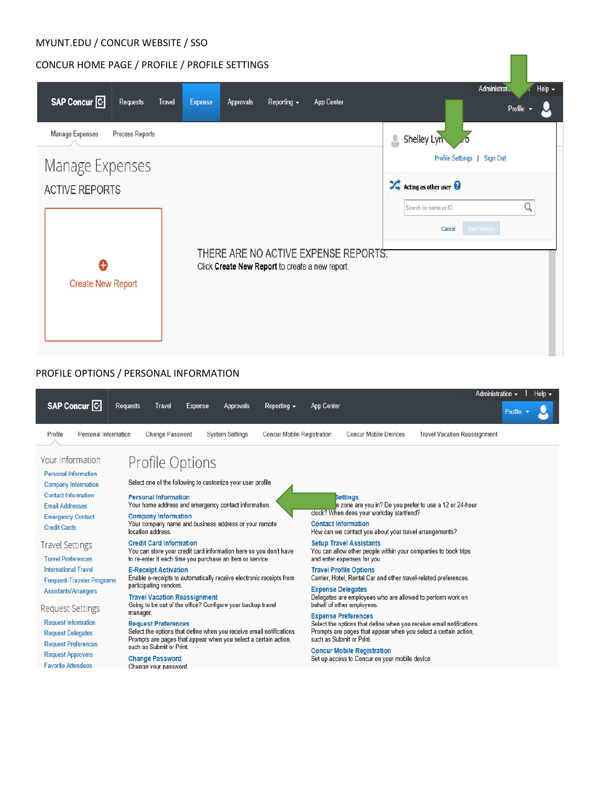## CONCUR HOME PAGE / PROFILE / PROFILE SETTINGS

|                                     |                                                                                         | Administratic<br>Help v                                        |
|-------------------------------------|-----------------------------------------------------------------------------------------|----------------------------------------------------------------|
| SAP Concur <sup>C</sup><br>Requests | Expense<br>Approvals<br>Reporting $\sim$<br>App Center<br><b>Travel</b>                 | Profile                                                        |
| Manage Expenses<br>Process Reports  |                                                                                         | Shelley Lyn<br>$\overline{\mathcal{L}}$                        |
| Manage Expenses                     |                                                                                         | Profile Settings  <br>Sign Out                                 |
| <b>ACTIVE REPORTS</b>               |                                                                                         | $\overrightarrow{X}$ Acting as other user $\overrightarrow{Q}$ |
|                                     |                                                                                         | Q<br>Search by name or ID                                      |
|                                     |                                                                                         | <b>Start Session</b><br>Cancel                                 |
| A                                   | THERE ARE NO ACTIVE EXPENSE REPORTS.<br>Click Create New Report to create a new report. |                                                                |
| <b>Create New Report</b>            |                                                                                         |                                                                |
|                                     |                                                                                         |                                                                |
|                                     |                                                                                         |                                                                |
|                                     |                                                                                         |                                                                |

# PROFILE OPTIONS / PERSONAL INFORMATION

|                                                                                                                                                                                          |                                                                                                                                                                                                                                                                                   |                        |                            |                            |                                                                                                                                                                                  |                                     | Administration $\bullet$ I Help $\bullet$ |  |
|------------------------------------------------------------------------------------------------------------------------------------------------------------------------------------------|-----------------------------------------------------------------------------------------------------------------------------------------------------------------------------------------------------------------------------------------------------------------------------------|------------------------|----------------------------|----------------------------|----------------------------------------------------------------------------------------------------------------------------------------------------------------------------------|-------------------------------------|-------------------------------------------|--|
| <b>SAP Concur C</b>                                                                                                                                                                      | <b>Requests</b><br><b>Travel</b><br><b>Expense</b>                                                                                                                                                                                                                                | <b>Approvals</b>       | Reporting $\sim$           | <b>App Center</b>          |                                                                                                                                                                                  |                                     | Profile                                   |  |
| Profile<br>Personal Information                                                                                                                                                          | Change Password                                                                                                                                                                                                                                                                   | <b>System Settings</b> | Concur Mobile Registration |                            | <b>Concur Mobile Devices</b>                                                                                                                                                     | <b>Travel Vacation Reassignment</b> |                                           |  |
| Your Information<br><b>Personal Information</b><br><b>Company Information</b><br><b>Contact Information</b><br><b>Email Addresses</b><br><b>Emergency Contact</b><br><b>Credit Cards</b> | Profile Options<br>Select one of the following to customize your user profile.<br><b>Personal Information</b><br>Your home address and emergency contact information.<br><b>Company Information</b><br>Your company name and business address or your remote<br>location address. |                        |                            | <b>Contact Information</b> | <b>Settings</b><br>e zone are you in? Do you prefer to use a 12 or 24-hour<br>clock? When does your workday start/end?<br>How can we contact you about your travel arrangements? |                                     |                                           |  |
| <b>Travel Settings</b><br><b>Travel Preferences</b>                                                                                                                                      | <b>Credit Card Information</b><br>You can store your credit card information here so you don't have<br>to re-enter it each time you purchase an item or service.                                                                                                                  |                        |                            |                            | <b>Setup Travel Assistants</b><br>You can allow other people within your companies to book trips<br>and enter expenses for you.                                                  |                                     |                                           |  |
| <b>International Travel</b><br><b>Frequent-Traveler Programs</b>                                                                                                                         | <b>E-Receipt Activation</b><br>Enable e-receipts to automatically receive electronic receipts from<br>participating vendors.                                                                                                                                                      |                        |                            |                            | <b>Travel Profile Options</b><br>Carrier, Hotel, Rental Car and other travel-related preferences.                                                                                |                                     |                                           |  |
| <b>Assistants/Arrangers</b><br>Request Settings                                                                                                                                          | <b>Travel Vacation Reassignment</b><br>Going to be out of the office? Configure your backup travel<br>manager.                                                                                                                                                                    |                        |                            | <b>Expense Delegates</b>   | Delegates are employees who are allowed to perform work on<br>behalf of other employees.<br><b>Expense Preferences</b>                                                           |                                     |                                           |  |
| <b>Request Information</b><br><b>Request Delegates</b><br><b>Request Preferences</b>                                                                                                     | <b>Request Preferences</b><br>Select the options that define when you receive email notifications.<br>Prompts are pages that appear when you select a certain action,<br>such as Submit or Print.                                                                                 |                        |                            |                            | Select the options that define when you receive email notifications.<br>Prompts are pages that appear when you select a certain action,<br>such as Submit or Print.              |                                     |                                           |  |
| <b>Request Approvers</b><br><b>Favorite Attendees</b>                                                                                                                                    | <b>Change Password</b><br>Change your password.                                                                                                                                                                                                                                   |                        |                            |                            | <b>Concur Mobile Registration</b><br>Set up access to Concur on your mobile device                                                                                               |                                     |                                           |  |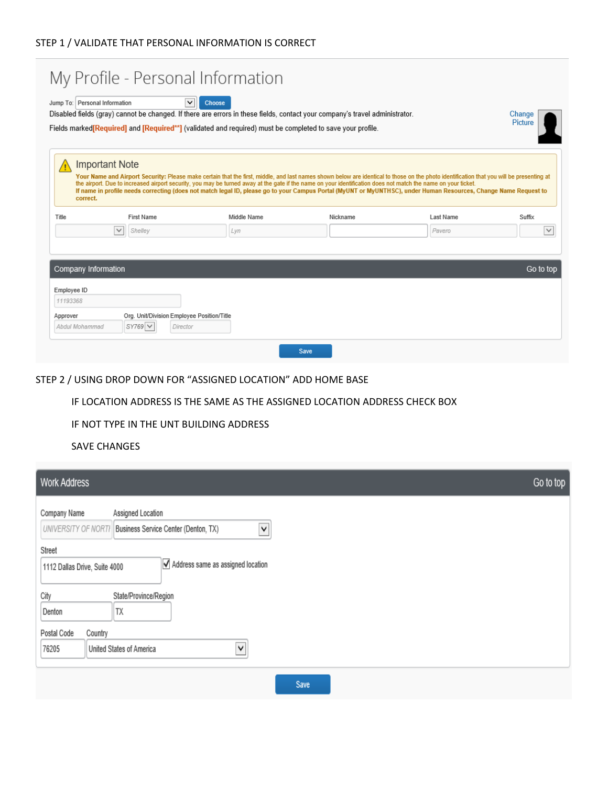|                                                            | Jump To: Personal Information              | $\checkmark$<br>Choose<br>Disabled fields (gray) cannot be changed. If there are errors in these fields, contact your company's travel administrator.                                                                                                                                                                                                     |          |           | Change<br>Picture |
|------------------------------------------------------------|--------------------------------------------|-----------------------------------------------------------------------------------------------------------------------------------------------------------------------------------------------------------------------------------------------------------------------------------------------------------------------------------------------------------|----------|-----------|-------------------|
|                                                            |                                            | Fields marked <b>[Required]</b> and <b>[Required<sup>**</sup>]</b> (validated and required) must be completed to save your profile.                                                                                                                                                                                                                       |          |           |                   |
|                                                            |                                            |                                                                                                                                                                                                                                                                                                                                                           |          |           |                   |
| <b>Important Note</b>                                      |                                            |                                                                                                                                                                                                                                                                                                                                                           |          |           |                   |
|                                                            |                                            | Your Name and Airport Security: Please make certain that the first, middle, and last names shown below are identical to those on the photo identification that you will be presenting at<br>the airport. Due to increased airport security, you may be turned away at the gate if the name on your identification does not match the name on your ticket. |          |           |                   |
| correct.                                                   |                                            | If name in profile needs correcting (does not match legal ID, please go to your Campus Portal (MyUNT or MyUNTHSC), under Human Resources, Change Name Request to                                                                                                                                                                                          |          |           |                   |
|                                                            |                                            |                                                                                                                                                                                                                                                                                                                                                           |          |           |                   |
|                                                            |                                            |                                                                                                                                                                                                                                                                                                                                                           |          |           |                   |
|                                                            | <b>First Name</b>                          | Middle Name                                                                                                                                                                                                                                                                                                                                               | Nickname | Last Name | Suffix            |
| Title                                                      | ٧<br>Shelley                               | Lyn                                                                                                                                                                                                                                                                                                                                                       |          | Pavero    |                   |
|                                                            |                                            |                                                                                                                                                                                                                                                                                                                                                           |          |           |                   |
|                                                            |                                            |                                                                                                                                                                                                                                                                                                                                                           |          |           |                   |
|                                                            |                                            |                                                                                                                                                                                                                                                                                                                                                           |          |           | Go to top         |
|                                                            |                                            |                                                                                                                                                                                                                                                                                                                                                           |          |           |                   |
|                                                            |                                            |                                                                                                                                                                                                                                                                                                                                                           |          |           |                   |
| Company Information<br>Employee ID<br>11193368<br>Approver | Org. Unit/Division Employee Position/Title |                                                                                                                                                                                                                                                                                                                                                           |          |           |                   |

## STEP 2 / USING DROP DOWN FOR "ASSIGNED LOCATION" ADD HOME BASE

### IF LOCATION ADDRESS IS THE SAME AS THE ASSIGNED LOCATION ADDRESS CHECK BOX

#### IF NOT TYPE IN THE UNT BUILDING ADDRESS

#### SAVE CHANGES

| Go to top<br>Work Address                                                                                                                                                                                |  |
|----------------------------------------------------------------------------------------------------------------------------------------------------------------------------------------------------------|--|
| Company Name<br>Assigned Location<br>Business Service Center (Denton, TX)<br>$\blacktriangledown$<br>UNIVERSITY OF NORTH<br>Street<br>Address same as assigned location<br>1112 Dallas Drive, Suite 4000 |  |
| City<br>State/Province/Region<br>TX<br>Denton<br>Postal Code<br>Country                                                                                                                                  |  |
| ∨<br>76205<br>United States of America                                                                                                                                                                   |  |
| Save                                                                                                                                                                                                     |  |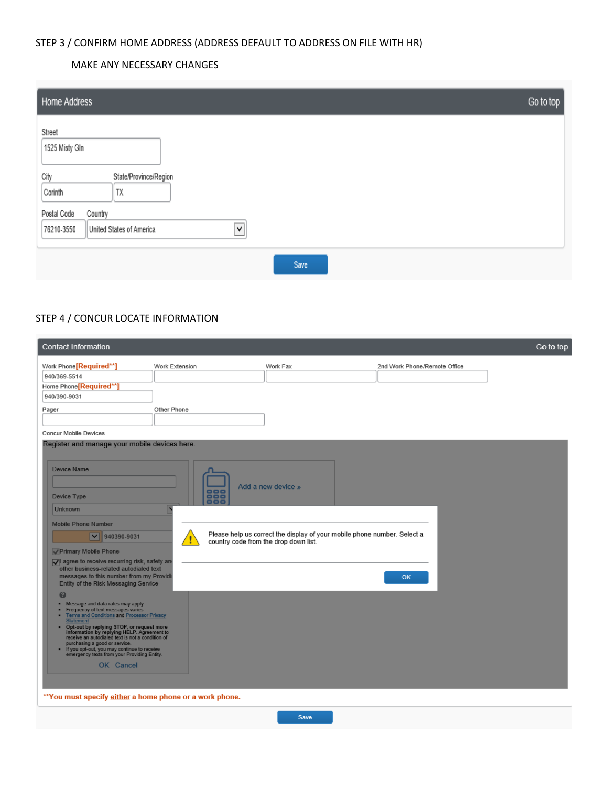## STEP 3 / CONFIRM HOME ADDRESS (ADDRESS DEFAULT TO ADDRESS ON FILE WITH HR)

#### MAKE ANY NECESSARY CHANGES

| Home Address                                                                     | Go to top |
|----------------------------------------------------------------------------------|-----------|
| Street<br>1525 Misty Gln                                                         |           |
| City<br>State/Province/Region<br>Corinth<br>TX                                   |           |
| Postal Code<br>Country<br>$\checkmark$<br>United States of America<br>76210-3550 |           |
| Save                                                                             |           |

## STEP 4 / CONCUR LOCATE INFORMATION

| <b>Contact Information</b>                                                                                                                                                                                                                                                                                                                                                                                                                        |                                                                  |                                                                                                |                              | Go to top |
|---------------------------------------------------------------------------------------------------------------------------------------------------------------------------------------------------------------------------------------------------------------------------------------------------------------------------------------------------------------------------------------------------------------------------------------------------|------------------------------------------------------------------|------------------------------------------------------------------------------------------------|------------------------------|-----------|
| Work Phone[Required**]<br>Work Extension<br>940/369-5514<br>Home Phone Required**<br>940/390-9031                                                                                                                                                                                                                                                                                                                                                 |                                                                  | Work Fax                                                                                       | 2nd Work Phone/Remote Office |           |
| Other Phone<br>Pager                                                                                                                                                                                                                                                                                                                                                                                                                              |                                                                  |                                                                                                |                              |           |
| <b>Concur Mobile Devices</b><br>Register and manage your mobile devices here.                                                                                                                                                                                                                                                                                                                                                                     |                                                                  |                                                                                                |                              |           |
| <b>Device Name</b><br>Device Type<br><b>Unknown</b><br><b>Mobile Phone Number</b><br>$\overline{\mathbf{v}}$<br>940390-9031<br>Primary Mobile Phone<br>oll agree to receive recurring risk, safety and<br>other business-related autodialed text<br>messages to this number from my Providir<br>Entity of the Risk Messaging Service<br>0<br>. Message and data rates may apply                                                                   | 888<br>888<br>- 1 - 1 -<br>country code from the drop down list. | Add a new device »<br>Please help us correct the display of your mobile phone number. Select a | OK                           |           |
| Frequency of text messages varies<br>Terms and Conditions and Processor Privacy<br>tatement<br>Opt-out by replying STOP, or request more<br>information by replying HELP. Agreement to<br>receive an autodialed text is not a condition of<br>purchasing a good or service.<br>If you opt-out, you may continue to receive<br>emergency texts from your Providing Entity.<br>OK Cancel<br>**You must specify either a home phone or a work phone. |                                                                  |                                                                                                |                              |           |

Save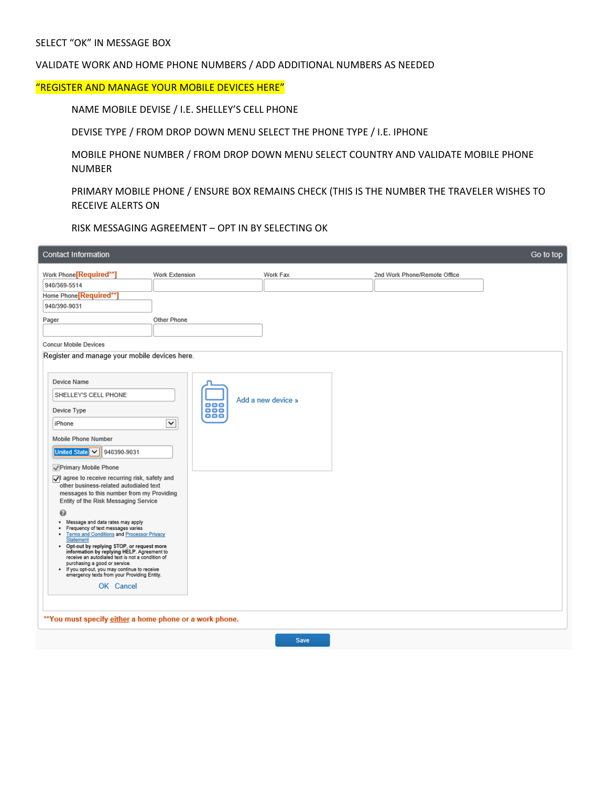#### VALIDATE WORK AND HOME PHONE NUMBERS / ADD ADDITIONAL NUMBERS AS NEEDED

#### "REGISTER AND MANAGE YOUR MOBILE DEVICES HERE"

NAME MOBILE DEVISE / I.E. SHELLEY'S CELL PHONE

DEVISE TYPE / FROM DROP DOWN MENU SELECT THE PHONE TYPE / I.E. IPHONE

MOBILE PHONE NUMBER / FROM DROP DOWN MENU SELECT COUNTRY AND VALIDATE MOBILE PHONE NUMBER

PRIMARY MOBILE PHONE / ENSURE BOX REMAINS CHECK (THIS IS THE NUMBER THE TRAVELER WISHES TO RECEIVE ALERTS ON

RISK MESSAGING AGREEMENT – OPT IN BY SELECTING OK

| Contact Information                                                                                                                                                                                                                                                                                                                                                                                                                                                                                         |                                        |                    |                              | Go to top |
|-------------------------------------------------------------------------------------------------------------------------------------------------------------------------------------------------------------------------------------------------------------------------------------------------------------------------------------------------------------------------------------------------------------------------------------------------------------------------------------------------------------|----------------------------------------|--------------------|------------------------------|-----------|
| Work Phone[Required**]<br>940/369-5514<br>Home Phone <sup>[Required**]</sup><br>940/390-9031<br>Pager                                                                                                                                                                                                                                                                                                                                                                                                       | Work Extension<br>Other Phone          | Work Fax           | 2nd Work Phone/Remote Office |           |
| <b>Concur Mobile Devices</b><br>Register and manage your mobile devices here.                                                                                                                                                                                                                                                                                                                                                                                                                               |                                        |                    |                              |           |
| Device Name<br>SHELLEY'S CELL PHONE<br>Device Type<br>iPhone<br>Mobile Phone Number<br>United State $\vert \vee \vert$ 940390-9031<br>√ Primary Mobile Phone<br>I agree to receive recurring risk, safety and<br>other business-related autodialed text<br>messages to this number from my Providing<br>Entity of the Risk Messaging Service<br>0                                                                                                                                                           | $\bullet$<br>888<br>888<br>$\check{~}$ | Add a new device » |                              |           |
| . Message and data rates may apply<br>· Frequency of text messages varies<br>Terms and Conditions and Processor Privacy<br>٠<br><b>Statement</b><br>. Opt-out by replying STOP, or request more<br>information by replying HELP. Agreement to<br>receive an autodialed text is not a condition of<br>purchasing a good or service.<br>. If you opt-out, you may continue to receive<br>emergency texts from your Providing Entity.<br>OK Cancel<br>** You must specify either a home phone or a work phone. |                                        |                    |                              |           |

Save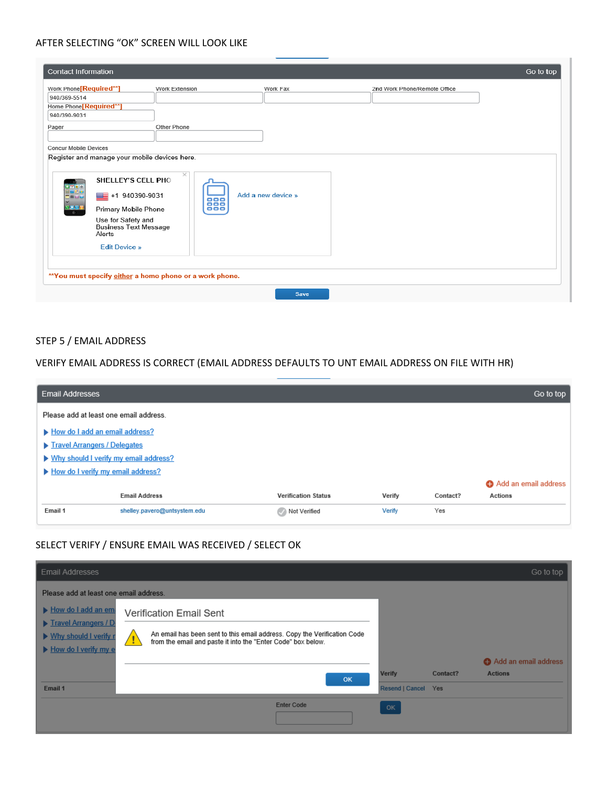#### AFTER SELECTING "OK" SCREEN WILL LOOK LIKE

| <b>Contact Information</b>         |                                                                                                                                       |                 |                    |                              | Go to top |
|------------------------------------|---------------------------------------------------------------------------------------------------------------------------------------|-----------------|--------------------|------------------------------|-----------|
| Work Phone <sup>[Required**]</sup> | Work Extension                                                                                                                        |                 | Work Fax           | 2nd Work Phone/Remote Office |           |
| 940/369-5514                       |                                                                                                                                       |                 |                    |                              |           |
| Home Phone <sup>[Required**]</sup> |                                                                                                                                       |                 |                    |                              |           |
| 940/390-9031                       |                                                                                                                                       |                 |                    |                              |           |
| Pager                              | Other Phone                                                                                                                           |                 |                    |                              |           |
| <b>Concur Mobile Devices</b>       |                                                                                                                                       |                 |                    |                              |           |
| ovec<br>Bete<br>Effee<br>1889      | Register and manage your mobile devices here.<br>SHELLEY'S CELL PHO<br>■ +1 940390-9031<br>Primary Mobile Phone<br>Use for Safety and | $\times$<br>888 | Add a new device » |                              |           |
|                                    | <b>Business Text Message</b><br>Alerts<br><b>Edit Device »</b>                                                                        |                 |                    |                              |           |
|                                    | **You must specify either a home phone or a work phone.                                                                               |                 | <b>Save</b>        |                              |           |

## STEP 5 / EMAIL ADDRESS

## VERIFY EMAIL ADDRESS IS CORRECT (EMAIL ADDRESS DEFAULTS TO UNT EMAIL ADDRESS ON FILE WITH HR)

| <b>Email Addresses</b>                  |                              |                            |        |          | Go to top            |
|-----------------------------------------|------------------------------|----------------------------|--------|----------|----------------------|
| Please add at least one email address.  |                              |                            |        |          |                      |
| How do I add an email address?          |                              |                            |        |          |                      |
| Travel Arrangers / Delegates            |                              |                            |        |          |                      |
| ▶ Why should I verify my email address? |                              |                            |        |          |                      |
| How do I verify my email address?       |                              |                            |        |          |                      |
|                                         |                              |                            |        |          | Add an email address |
|                                         | <b>Email Address</b>         | <b>Verification Status</b> | Verify | Contact? | <b>Actions</b>       |
| Email 1                                 | shelley.pavero@untsystem.edu | Not Verified               | Verify | Yes      |                      |

# SELECT VERIFY / ENSURE EMAIL WAS RECEIVED / SELECT OK

| <b>Email Addresses</b>                                                  |                                                                                                                                                |                                      |          | Go to top            |
|-------------------------------------------------------------------------|------------------------------------------------------------------------------------------------------------------------------------------------|--------------------------------------|----------|----------------------|
| Please add at least one email address.                                  |                                                                                                                                                |                                      |          |                      |
| How do I add an em                                                      | <b>Verification Email Sent</b>                                                                                                                 |                                      |          |                      |
| Travel Arrangers / D<br>▶ Why should I verify r<br>How do I verify my e | An email has been sent to this email address. Copy the Verification Code<br>from the email and paste it into the "Enter Code" box below.<br>-1 |                                      |          |                      |
|                                                                         |                                                                                                                                                |                                      |          | Add an email address |
| Email 1                                                                 | OK                                                                                                                                             | <b>Verify</b><br>Resend   Cancel Yes | Contact? | <b>Actions</b>       |
|                                                                         | <b>Enter Code</b>                                                                                                                              | <b>OK</b>                            |          |                      |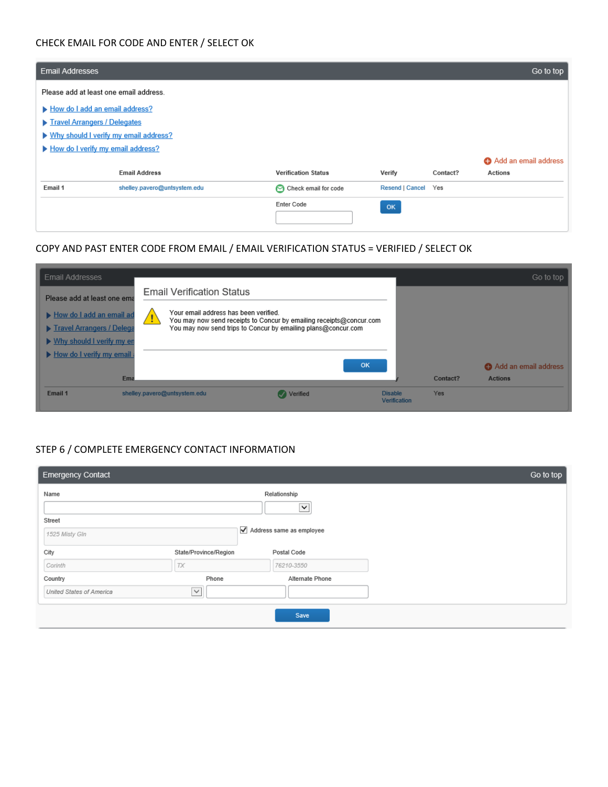### CHECK EMAIL FOR CODE AND ENTER / SELECT OK

| <b>Email Addresses</b>                                                                                                                         |                              |                            |                     |          | Go to top            |
|------------------------------------------------------------------------------------------------------------------------------------------------|------------------------------|----------------------------|---------------------|----------|----------------------|
| Please add at least one email address.                                                                                                         |                              |                            |                     |          |                      |
| How do I add an email address?<br>Travel Arrangers / Delegates<br>▶ Why should I verify my email address?<br>How do I verify my email address? |                              |                            |                     |          |                      |
|                                                                                                                                                |                              |                            |                     |          | Add an email address |
|                                                                                                                                                | <b>Email Address</b>         | <b>Verification Status</b> | Verify              | Contact? | Actions              |
| Email 1                                                                                                                                        | shelley.pavero@untsystem.edu | Check email for code       | Resend   Cancel Yes |          |                      |
|                                                                                                                                                |                              | Enter Code                 | <b>OK</b>           |          |                      |

# COPY AND PAST ENTER CODE FROM EMAIL / EMAIL VERIFICATION STATUS = VERIFIED / SELECT OK

| <b>Email Addresses</b>                                                                                                                          |                                                                                                                                                                                                                   | Go to top                                          |
|-------------------------------------------------------------------------------------------------------------------------------------------------|-------------------------------------------------------------------------------------------------------------------------------------------------------------------------------------------------------------------|----------------------------------------------------|
| Please add at least one ema<br>How do I add an email ad<br>Travel Arrangers / Delega<br>▶ Why should I verify my en<br>How do I verify my email | <b>Email Verification Status</b><br>Your email address has been verified.<br>You may now send receipts to Concur by emailing receipts@concur.com<br>You may now send trips to Concur by emailing plans@concur.com |                                                    |
| Em                                                                                                                                              | OK                                                                                                                                                                                                                | Add an email address<br>Contact?<br><b>Actions</b> |
| Email 1                                                                                                                                         | Verified<br>shelley.pavero@untsystem.edu<br><b>Disable</b>                                                                                                                                                        | <b>Yes</b><br><b>Verification</b>                  |

## STEP 6 / COMPLETE EMERGENCY CONTACT INFORMATION

| <b>Emergency Contact</b> |                                               |                 |  |  |  |  |
|--------------------------|-----------------------------------------------|-----------------|--|--|--|--|
| Name                     |                                               | Relationship    |  |  |  |  |
| $\checkmark$             |                                               |                 |  |  |  |  |
| Street                   |                                               |                 |  |  |  |  |
| 1525 Misty Gln           | $\sqrt{\phantom{a}}$ Address same as employee |                 |  |  |  |  |
| City                     | State/Province/Region                         | Postal Code     |  |  |  |  |
| Corinth                  | TX                                            | 76210-3550      |  |  |  |  |
| Country                  | Phone                                         | Alternate Phone |  |  |  |  |
| United States of America | $\checkmark$                                  |                 |  |  |  |  |
|                          |                                               |                 |  |  |  |  |
|                          |                                               | Save            |  |  |  |  |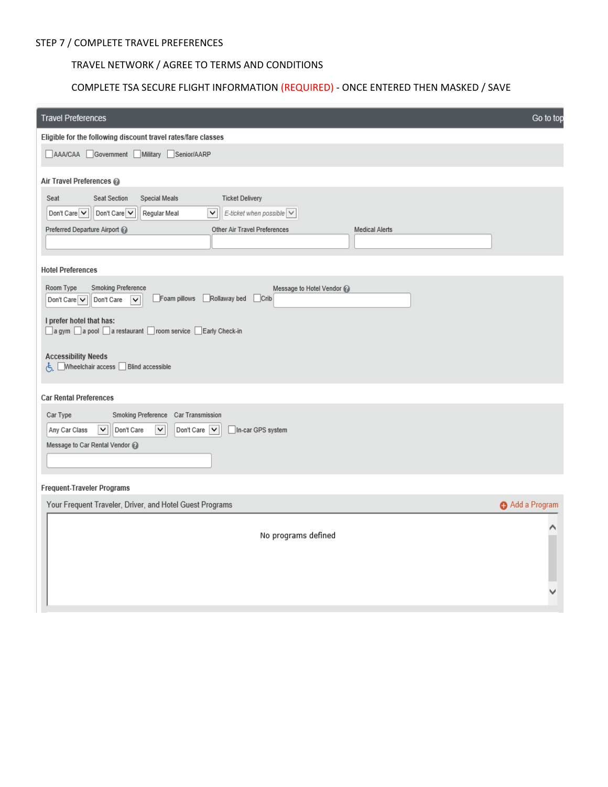# TRAVEL NETWORK / AGREE TO TERMS AND CONDITIONS

### COMPLETE TSA SECURE FLIGHT INFORMATION (REQUIRED) - ONCE ENTERED THEN MASKED / SAVE

| <b>Travel Preferences</b>                                                                                                                                                                                                                                                                                                                                                                                                                                                                                                                                             | Go to top     |  |  |  |  |
|-----------------------------------------------------------------------------------------------------------------------------------------------------------------------------------------------------------------------------------------------------------------------------------------------------------------------------------------------------------------------------------------------------------------------------------------------------------------------------------------------------------------------------------------------------------------------|---------------|--|--|--|--|
| Eligible for the following discount travel rates/fare classes                                                                                                                                                                                                                                                                                                                                                                                                                                                                                                         |               |  |  |  |  |
| AAA/CAA Government Military Senior/AARP                                                                                                                                                                                                                                                                                                                                                                                                                                                                                                                               |               |  |  |  |  |
| Air Travel Preferences @                                                                                                                                                                                                                                                                                                                                                                                                                                                                                                                                              |               |  |  |  |  |
| <b>Ticket Delivery</b><br>Seat<br>Seat Section<br><b>Special Meals</b><br>$\vert \bm{\vee} \vert$<br>E-ticket when possible $\vee$<br>Don't Care $\vee$<br>Don't Care $\vee$<br>Regular Meal<br>Other Air Travel Preferences<br>Preferred Departure Airport @<br><b>Medical Alerts</b>                                                                                                                                                                                                                                                                                |               |  |  |  |  |
| <b>Hotel Preferences</b>                                                                                                                                                                                                                                                                                                                                                                                                                                                                                                                                              |               |  |  |  |  |
| Smoking Preference<br>Room Type<br>Message to Hotel Vendor @<br>Foam pillows<br>Rollaway bed<br>Crib<br>Don't Care $\overline{\smile}$<br>Don't Care<br>$\checkmark$<br>I prefer hotel that has:<br>a gym a pool a restaurant com service Early Check-in<br><b>Accessibility Needs</b><br>Mheelchair access Blind accessible<br><b>Car Rental Preferences</b><br>Smoking Preference<br>Car Type<br>Car Transmission<br>$\checkmark$<br>Don't Care<br>$\blacktriangledown$<br>Don't Care   v  <br>Any Car Class<br>In-car GPS system<br>Message to Car Rental Vendor @ |               |  |  |  |  |
|                                                                                                                                                                                                                                                                                                                                                                                                                                                                                                                                                                       |               |  |  |  |  |
| Frequent-Traveler Programs                                                                                                                                                                                                                                                                                                                                                                                                                                                                                                                                            |               |  |  |  |  |
| Your Frequent Traveler, Driver, and Hotel Guest Programs                                                                                                                                                                                                                                                                                                                                                                                                                                                                                                              | Add a Program |  |  |  |  |
| No programs defined                                                                                                                                                                                                                                                                                                                                                                                                                                                                                                                                                   |               |  |  |  |  |
|                                                                                                                                                                                                                                                                                                                                                                                                                                                                                                                                                                       |               |  |  |  |  |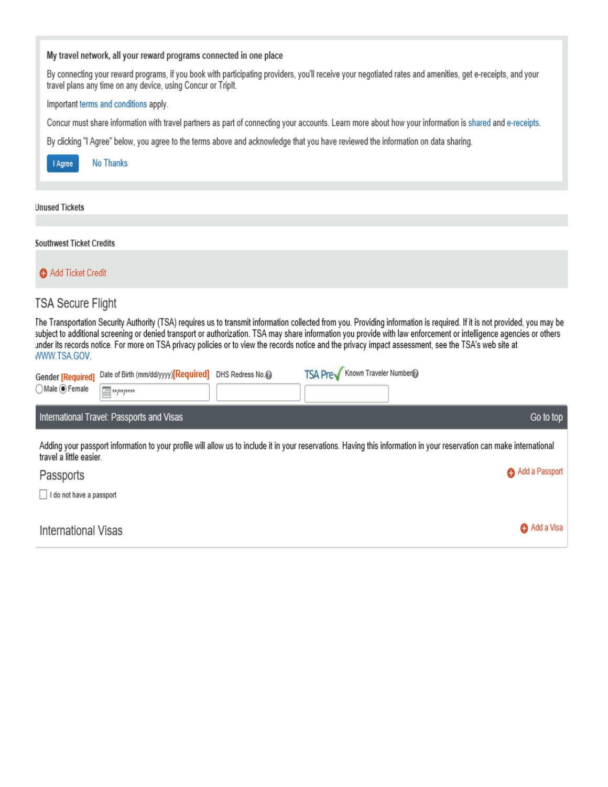| My travel network, all your reward programs connected in one place                                                                                                                                                                                                                                                                                                                                                                                                                                                       |  |
|--------------------------------------------------------------------------------------------------------------------------------------------------------------------------------------------------------------------------------------------------------------------------------------------------------------------------------------------------------------------------------------------------------------------------------------------------------------------------------------------------------------------------|--|
| By connecting your reward programs, if you book with participating providers, you'll receive your negotiated rates and amenities, get e-receipts, and your<br>travel plans any time on any device, using Concur or Triplt.                                                                                                                                                                                                                                                                                               |  |
| Important terms and conditions apply.                                                                                                                                                                                                                                                                                                                                                                                                                                                                                    |  |
| Concur must share information with travel partners as part of connecting your accounts. Learn more about how your information is shared and e-receipts.                                                                                                                                                                                                                                                                                                                                                                  |  |
| By clicking "I Agree" below, you agree to the terms above and acknowledge that you have reviewed the information on data sharing.                                                                                                                                                                                                                                                                                                                                                                                        |  |
| <b>No Thanks</b><br>I Agree                                                                                                                                                                                                                                                                                                                                                                                                                                                                                              |  |
| <b>Jnused Tickets</b>                                                                                                                                                                                                                                                                                                                                                                                                                                                                                                    |  |
| <b>Southwest Ticket Credits</b>                                                                                                                                                                                                                                                                                                                                                                                                                                                                                          |  |
| Add Ticket Credit                                                                                                                                                                                                                                                                                                                                                                                                                                                                                                        |  |
| TSA Secure Flight                                                                                                                                                                                                                                                                                                                                                                                                                                                                                                        |  |
| The Transportation Security Authority (TSA) requires us to transmit information collected from you. Providing information is required. If it is not provided, you may be<br>subject to additional screening or denied transport or authorization. TSA may share information you provide with law enforcement or intelligence agencies or others<br>under its records notice. For more on TSA privacy policies or to view the records notice and the privacy impact assessment, see the TSA's web site at<br>WWW.TSA.GOV. |  |

| <b>Gender [Required]</b><br>Male O Female                                                                                                                                                        | Date of Birth (mm/dd/yyyy) [Required] DHS Redress No.<br>$\overline{=}$ */*/**** |  | Known Traveler Number<br><b>TSA Prev</b> |                |  |  |
|--------------------------------------------------------------------------------------------------------------------------------------------------------------------------------------------------|----------------------------------------------------------------------------------|--|------------------------------------------|----------------|--|--|
|                                                                                                                                                                                                  | International Travel: Passports and Visas                                        |  |                                          | Go to top      |  |  |
| Adding your passport information to your profile will allow us to include it in your reservations. Having this information in your reservation can make international<br>travel a little easier. |                                                                                  |  |                                          |                |  |  |
| Passports                                                                                                                                                                                        |                                                                                  |  |                                          | Add a Passport |  |  |
| do not have a passport                                                                                                                                                                           |                                                                                  |  |                                          |                |  |  |

| International Visas | Add a Visa |
|---------------------|------------|